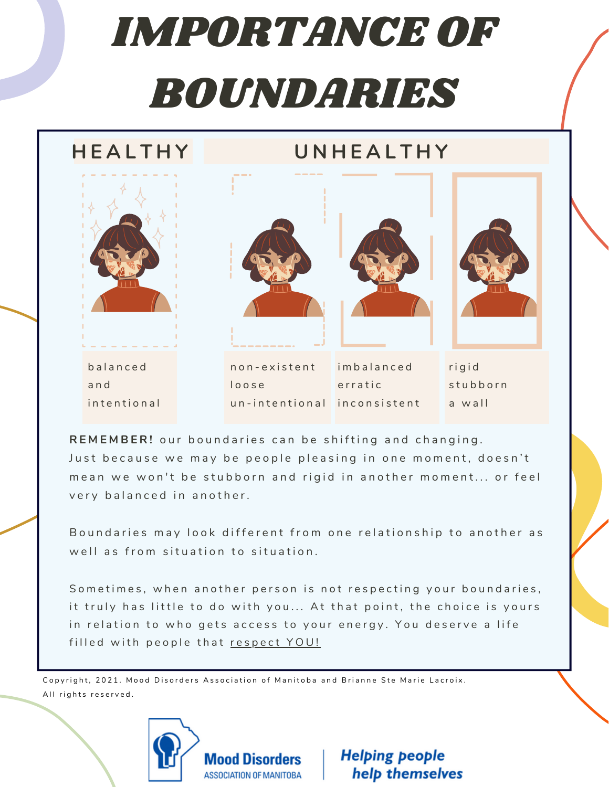## IMPORTANCE OF BOUNDARIES

### **H E A L T H Y**

### **U N H E A L T H Y**



**R E M E M B E R !** o u r b o u n d a r i e s c a n b e s h i f t i n g a n d c h a n g i n g . Just because we may be people pleasing in one moment, doesn't mean we won't be stubborn and rigid in another moment... or feel very balanced in another.

Boundaries may look different from one relationship to another as well as from situation to situation.

Sometimes, when another person is not respecting your boundaries, it truly has little to do with you... At that point, the choice is yours in relation to who gets access to your energy. You deserve a life filled with people that respect YOU!

Copyright, 2021. Mood Disorders Association of Manitoba and Brianne Ste Marie Lacroix. All rights reserved.



**Helping people** help themselves